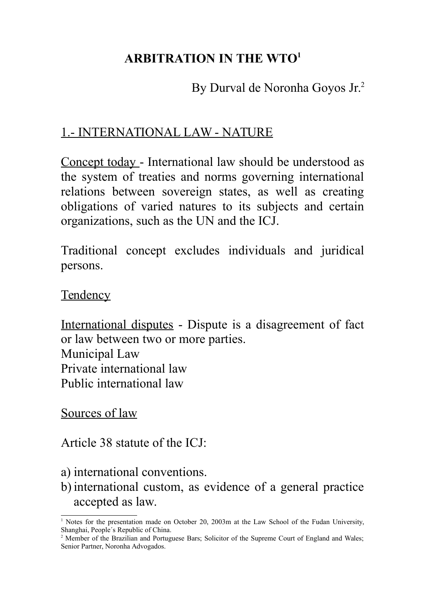## **ARBITRATION IN THE WTO[1](#page-0-0)**

By Durval de Noronha Goyos Jr.[2](#page-0-1)

## 1.- INTERNATIONAL LAW - NATURE

Concept today - International law should be understood as the system of treaties and norms governing international relations between sovereign states, as well as creating obligations of varied natures to its subjects and certain organizations, such as the UN and the ICJ.

Traditional concept excludes individuals and juridical persons.

**Tendency** 

International disputes - Dispute is a disagreement of fact or law between two or more parties. Municipal Law Private international law Public international law

Sources of law

Article 38 statute of the ICJ:

a) international conventions.

b) international custom, as evidence of a general practice accepted as law.

<span id="page-0-0"></span><sup>&</sup>lt;sup>1</sup> Notes for the presentation made on October 20, 2003m at the Law School of the Fudan University, Shanghai, People´s Republic of China.

<span id="page-0-1"></span><sup>&</sup>lt;sup>2</sup> Member of the Brazilian and Portuguese Bars; Solicitor of the Supreme Court of England and Wales; Senior Partner, Noronha Advogados.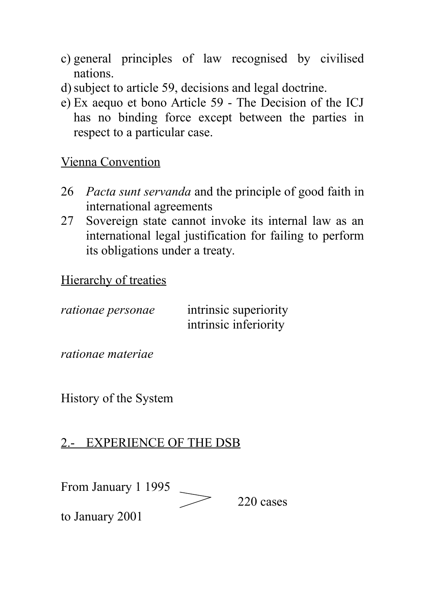- c) general principles of law recognised by civilised nations.
- d) subject to article 59, decisions and legal doctrine.
- e) Ex aequo et bono Article 59 The Decision of the ICJ has no binding force except between the parties in respect to a particular case.

#### Vienna Convention

- 26 *Pacta sunt servanda* and the principle of good faith in international agreements
- 27 Sovereign state cannot invoke its internal law as an international legal justification for failing to perform its obligations under a treaty.

#### Hierarchy of treaties

| <i>rationae personae</i> | intrinsic superiority |
|--------------------------|-----------------------|
|                          | intrinsic inferiority |

*rationae materiae*

History of the System

## 2.- EXPERIENCE OF THE DSB

 $\searrow$ 

From January 1 1995

220 cases

to January 2001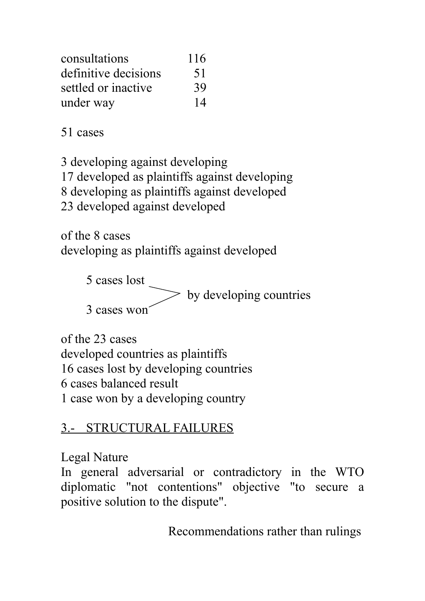| consultations        | 116 |
|----------------------|-----|
| definitive decisions | 51  |
| settled or inactive  | 39  |
| under way            | 14  |

51 cases

3 developing against developing 17 developed as plaintiffs against developing 8 developing as plaintiffs against developed 23 developed against developed

of the 8 cases developing as plaintiffs against developed



of the 23 cases developed countries as plaintiffs 16 cases lost by developing countries 6 cases balanced result 1 case won by a developing country

# 3.- STRUCTURAL FAILURES

Legal Nature

In general adversarial or contradictory in the WTO diplomatic "not contentions" objective "to secure a positive solution to the dispute".

Recommendations rather than rulings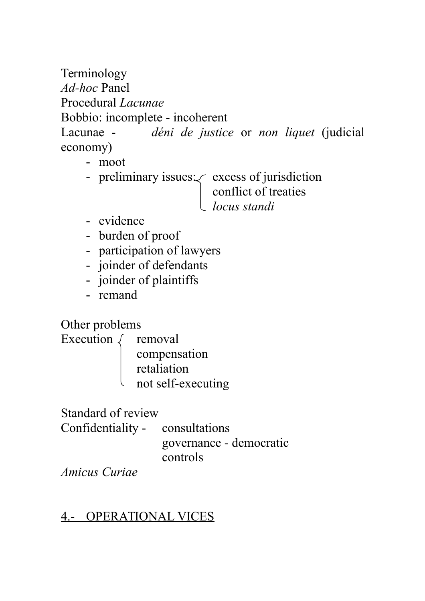Terminology *Ad-hoc* Panel Procedural *Lacunae* Bobbio: incomplete - incoherent Lacunae - *déni de justice* or *non liquet* (judicial economy)

- moot
- preliminary issues:  $\lt$  excess of jurisdiction

conflict of treaties

*locus standi*

- evidence
- burden of proof
- participation of lawyers
- joinder of defendants
- joinder of plaintiffs
- remand

Other problems

- Execution  $\zeta$  removal
	- compensation
	- retaliation
	- not self-executing

Standard of review

Confidentiality - consultations governance - democratic controls

*Amicus Curiae*

### 4.- OPERATIONAL VICES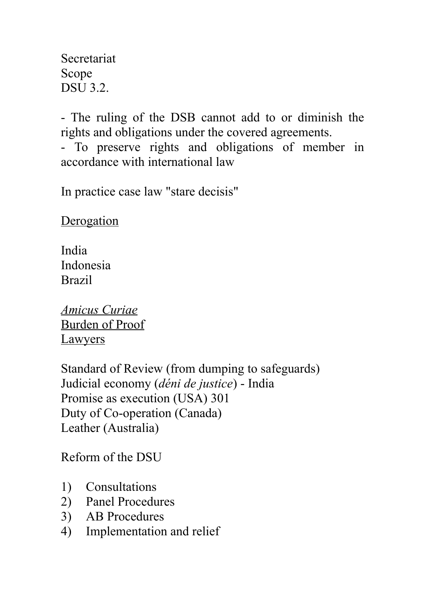**Secretariat** Scope DSU 3.2.

- The ruling of the DSB cannot add to or diminish the rights and obligations under the covered agreements.

- To preserve rights and obligations of member in accordance with international law

In practice case law "stare decisis"

**Derogation** 

India Indonesia Brazil

*Amicus Curiae* Burden of Proof **Lawyers** 

Standard of Review (from dumping to safeguards) Judicial economy (*déni de justice*) - India Promise as execution (USA) 301 Duty of Co-operation (Canada) Leather (Australia)

Reform of the DSU

- 1) Consultations
- 2) Panel Procedures
- 3) AB Procedures
- 4) Implementation and relief